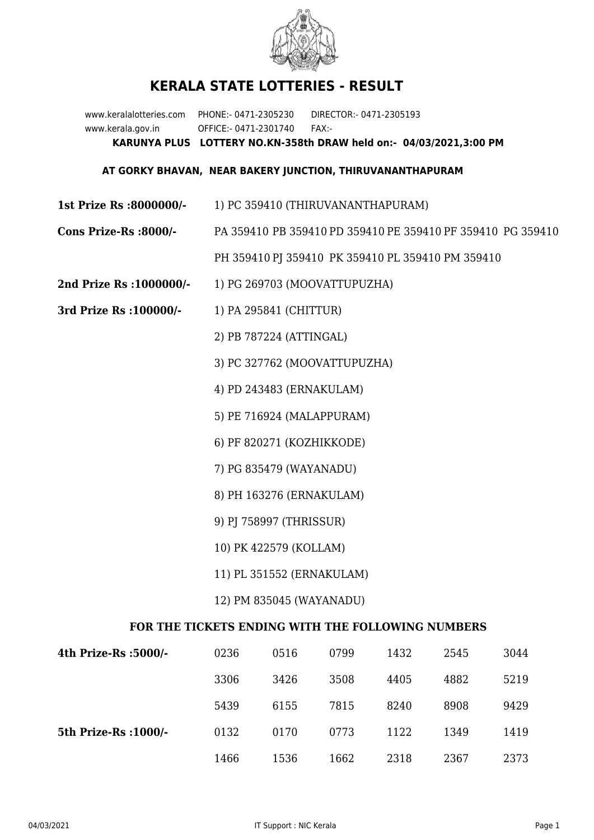

## **KERALA STATE LOTTERIES - RESULT**

www.keralalotteries.com PHONE:- 0471-2305230 DIRECTOR:- 0471-2305193 www.kerala.gov.in OFFICE:- 0471-2301740 FAX:- **KARUNYA PLUS LOTTERY NO.KN-358th DRAW held on:- 04/03/2021,3:00 PM**

## **AT GORKY BHAVAN, NEAR BAKERY JUNCTION, THIRUVANANTHAPURAM**

- **1st Prize Rs :8000000/-** 1) PC 359410 (THIRUVANANTHAPURAM)
- **Cons Prize-Rs :8000/-** PA 359410 PB 359410 PD 359410 PE 359410 PF 359410 PG 359410

PH 359410 PJ 359410 PK 359410 PL 359410 PM 359410

- **2nd Prize Rs :1000000/-** 1) PG 269703 (MOOVATTUPUZHA)
- **3rd Prize Rs :100000/-** 1) PA 295841 (CHITTUR)

2) PB 787224 (ATTINGAL)

3) PC 327762 (MOOVATTUPUZHA)

4) PD 243483 (ERNAKULAM)

5) PE 716924 (MALAPPURAM)

6) PF 820271 (KOZHIKKODE)

7) PG 835479 (WAYANADU)

8) PH 163276 (ERNAKULAM)

- 9) PJ 758997 (THRISSUR)
- 10) PK 422579 (KOLLAM)
- 11) PL 351552 (ERNAKULAM)

12) PM 835045 (WAYANADU)

## **FOR THE TICKETS ENDING WITH THE FOLLOWING NUMBERS**

| 4th Prize-Rs :5000/-  | 0236 | 0516 | 0799 | 1432 | 2545 | 3044 |
|-----------------------|------|------|------|------|------|------|
|                       | 3306 | 3426 | 3508 | 4405 | 4882 | 5219 |
|                       | 5439 | 6155 | 7815 | 8240 | 8908 | 9429 |
| 5th Prize-Rs : 1000/- | 0132 | 0170 | 0773 | 1122 | 1349 | 1419 |
|                       | 1466 | 1536 | 1662 | 2318 | 2367 | 2373 |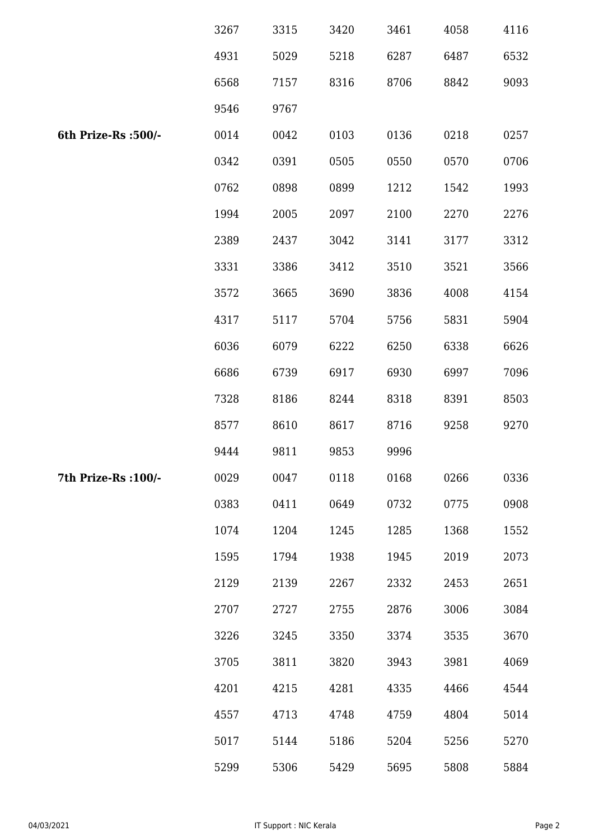|                      | 3267 | 3315 | 3420 | 3461 | 4058 | 4116 |
|----------------------|------|------|------|------|------|------|
|                      | 4931 | 5029 | 5218 | 6287 | 6487 | 6532 |
|                      | 6568 | 7157 | 8316 | 8706 | 8842 | 9093 |
|                      | 9546 | 9767 |      |      |      |      |
| 6th Prize-Rs :500/-  | 0014 | 0042 | 0103 | 0136 | 0218 | 0257 |
|                      | 0342 | 0391 | 0505 | 0550 | 0570 | 0706 |
|                      | 0762 | 0898 | 0899 | 1212 | 1542 | 1993 |
|                      | 1994 | 2005 | 2097 | 2100 | 2270 | 2276 |
|                      | 2389 | 2437 | 3042 | 3141 | 3177 | 3312 |
|                      | 3331 | 3386 | 3412 | 3510 | 3521 | 3566 |
|                      | 3572 | 3665 | 3690 | 3836 | 4008 | 4154 |
|                      | 4317 | 5117 | 5704 | 5756 | 5831 | 5904 |
|                      | 6036 | 6079 | 6222 | 6250 | 6338 | 6626 |
|                      | 6686 | 6739 | 6917 | 6930 | 6997 | 7096 |
|                      | 7328 | 8186 | 8244 | 8318 | 8391 | 8503 |
|                      | 8577 | 8610 | 8617 | 8716 | 9258 | 9270 |
|                      | 9444 | 9811 | 9853 | 9996 |      |      |
| 7th Prize-Rs : 100/- | 0029 | 0047 | 0118 | 0168 | 0266 | 0336 |
|                      | 0383 | 0411 | 0649 | 0732 | 0775 | 0908 |
|                      | 1074 | 1204 | 1245 | 1285 | 1368 | 1552 |
|                      | 1595 | 1794 | 1938 | 1945 | 2019 | 2073 |
|                      | 2129 | 2139 | 2267 | 2332 | 2453 | 2651 |
|                      | 2707 | 2727 | 2755 | 2876 | 3006 | 3084 |
|                      | 3226 | 3245 | 3350 | 3374 | 3535 | 3670 |
|                      | 3705 | 3811 | 3820 | 3943 | 3981 | 4069 |
|                      | 4201 | 4215 | 4281 | 4335 | 4466 | 4544 |
|                      | 4557 | 4713 | 4748 | 4759 | 4804 | 5014 |
|                      | 5017 | 5144 | 5186 | 5204 | 5256 | 5270 |
|                      | 5299 | 5306 | 5429 | 5695 | 5808 | 5884 |